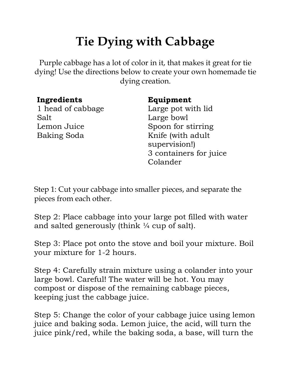## **Tie Dying with Cabbage**

Purple cabbage has a lot of color in it, that makes it great for tie dying! Use the directions below to create your own homemade tie dying creation.

## **Ingredients**

1 head of cabbage Salt Lemon Juice Baking Soda

## **Equipment**

Large pot with lid Large bowl Spoon for stirring Knife (with adult supervision!) 3 containers for juice Colander

Step 1: Cut your cabbage into smaller pieces, and separate the pieces from each other.

Step 2: Place cabbage into your large pot filled with water and salted generously (think  $\frac{1}{4}$  cup of salt).

Step 3: Place pot onto the stove and boil your mixture. Boil your mixture for 1-2 hours.

Step 4: Carefully strain mixture using a colander into your large bowl. Careful! The water will be hot. You may compost or dispose of the remaining cabbage pieces, keeping just the cabbage juice.

Step 5: Change the color of your cabbage juice using lemon juice and baking soda. Lemon juice, the acid, will turn the juice pink/red, while the baking soda, a base, will turn the